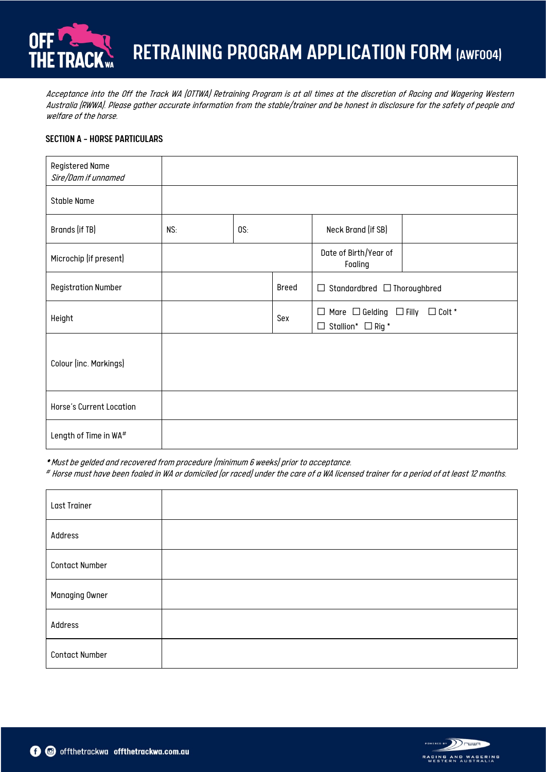

Acceptance into the Off the Track WA (OTTWA) Retraining Program is at all times at the discretion of Racing and Wagering Western Australia (RWWA). Please gather accurate information from the stable/trainer and be honest in disclosure for the safety of people and welfare of the horse.

## SECTION A – HORSE PARTICULARS

| <b>Registered Name</b><br>Sire/Dam if unnamed |     |     |       |                                                                                        |  |
|-----------------------------------------------|-----|-----|-------|----------------------------------------------------------------------------------------|--|
| <b>Stable Name</b>                            |     |     |       |                                                                                        |  |
| Brands (if TB)                                | NS: | OS: |       | Neck Brand (if SB)                                                                     |  |
| Microchip (if present)                        |     |     |       | Date of Birth/Year of<br>Foaling                                                       |  |
| <b>Registration Number</b>                    |     |     | Breed | $\Box$ Standardbred $\Box$ Thoroughbred                                                |  |
| Height                                        |     |     | Sex   | $\Box$ Mare $\Box$ Gelding $\Box$ Filly $\Box$ Colt *<br>$\Box$ Stallion* $\Box$ Rig * |  |
| Colour (inc. Markings)                        |     |     |       |                                                                                        |  |
| Horse's Current Location                      |     |     |       |                                                                                        |  |
| Length of Time in WA#                         |     |     |       |                                                                                        |  |

\* Must be gelded and recovered from procedure (minimum 6 weeks) prior to acceptance.

# Horse must have been foaled in WA or domiciled (or raced) under the care of a WA licensed trainer for a period of at least 12 months.

| Last Trainer          |  |
|-----------------------|--|
| Address               |  |
| <b>Contact Number</b> |  |
| Managing Owner        |  |
| Address               |  |
| <b>Contact Number</b> |  |

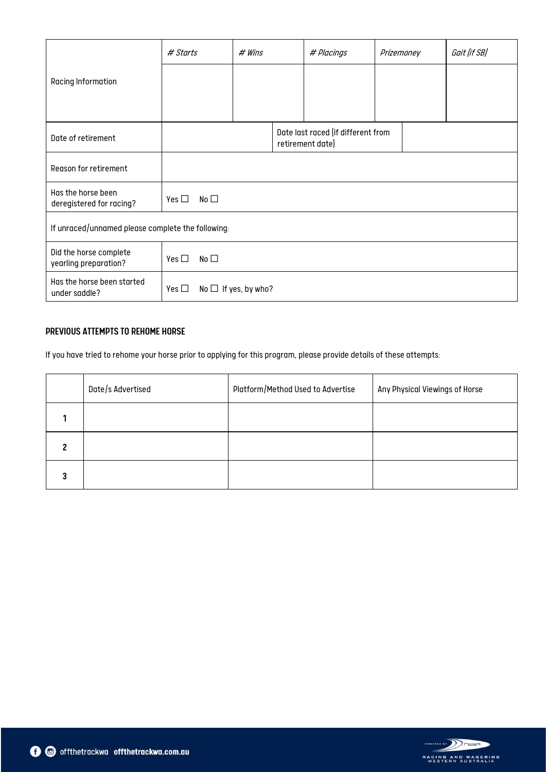|                                                   | # Starts                        | # Wins                    |  | # Placings                                             | Prizemoney | Gait (if SB) |
|---------------------------------------------------|---------------------------------|---------------------------|--|--------------------------------------------------------|------------|--------------|
| Racing Information                                |                                 |                           |  |                                                        |            |              |
| Date of retirement                                |                                 |                           |  | Date last raced (if different from<br>retirement date) |            |              |
| Reason for retirement                             |                                 |                           |  |                                                        |            |              |
| Has the horse been<br>deregistered for racing?    | Yes $\square$<br>No $\square$   |                           |  |                                                        |            |              |
| If unraced/unnamed please complete the following: |                                 |                           |  |                                                        |            |              |
| Did the horse complete<br>yearling preparation?   | $No$ $\square$<br>Yes $\square$ |                           |  |                                                        |            |              |
| Has the horse been started<br>under saddle?       | Yes $\square$                   | No $\Box$ If yes, by who? |  |                                                        |            |              |

## PREVIOUS ATTEMPTS TO REHOME HORSE

If you have tried to rehome your horse prior to applying for this program, please provide details of these attempts:

|   | Date/s Advertised | Platform/Method Used to Advertise | Any Physical Viewings of Horse |
|---|-------------------|-----------------------------------|--------------------------------|
|   |                   |                                   |                                |
| ∍ |                   |                                   |                                |
| 3 |                   |                                   |                                |

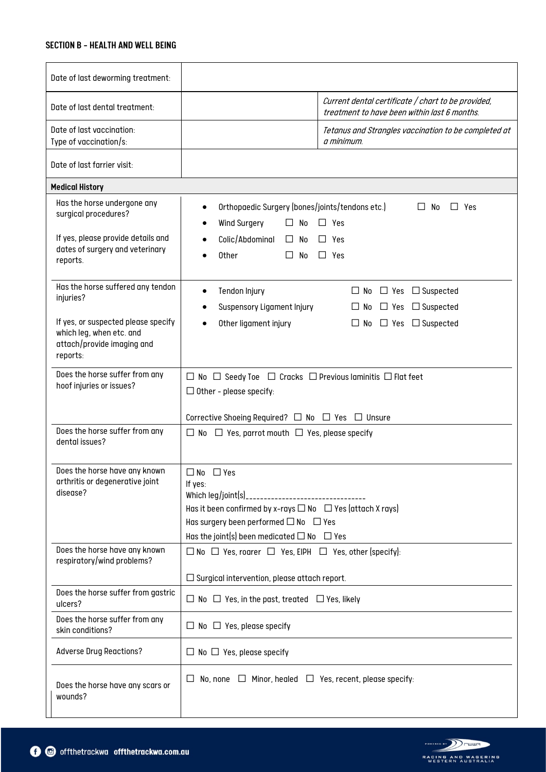#### SECTION B - HEALTH AND WELL BEING

| Date of last deworming treatment:                                                                                                                           |                                                                                                                                                                                                                                                           |  |  |  |  |
|-------------------------------------------------------------------------------------------------------------------------------------------------------------|-----------------------------------------------------------------------------------------------------------------------------------------------------------------------------------------------------------------------------------------------------------|--|--|--|--|
| Date of last dental treatment:                                                                                                                              | Current dental certificate / chart to be provided,<br>treatment to have been within last 6 months.                                                                                                                                                        |  |  |  |  |
| Date of last vaccination:<br>Type of vaccination/s:                                                                                                         | Tetanus and Strangles vaccination to be completed at<br>a minimum.                                                                                                                                                                                        |  |  |  |  |
| Date of last farrier visit:                                                                                                                                 |                                                                                                                                                                                                                                                           |  |  |  |  |
| <b>Medical History</b>                                                                                                                                      |                                                                                                                                                                                                                                                           |  |  |  |  |
| Has the horse undergone any<br>surgical procedures?<br>If yes, please provide details and<br>dates of surgery and veterinary<br>reports.                    | Orthopaedic Surgery (bones/joints/tendons etc.)<br>$\square$ No<br>$\Box$ Yes<br>$\bullet$<br>Wind Surgery<br>$\Box$ Yes<br>$\Box$ No<br>Colic/Abdominal<br>$\Box$ Yes<br>$\Box$ No<br>Other<br>$\Box$ Yes<br>$\Box$ No                                   |  |  |  |  |
| Has the horse suffered any tendon<br>injuries?<br>If yes, or suspected please specify<br>which leg, when etc. and<br>attach/provide imaging and<br>reports: | Tendon Injury<br>$\Box$ No $\Box$ Yes $\Box$ Suspected<br>$\bullet$<br>Suspensory Ligament Injury<br>$\Box$ Suspected<br>$\Box$ No $\Box$ Yes<br>Other ligament injury<br>$\Box$ No $\Box$ Yes $\Box$ Suspected                                           |  |  |  |  |
| Does the horse suffer from any<br>hoof injuries or issues?<br>Does the horse suffer from any<br>dental issues?                                              | $\Box$ No $\Box$ Seedy Toe $\Box$ Cracks $\Box$ Previous laminitis $\Box$ Flat feet<br>$\Box$ Other - please specify:<br>Corrective Shoeing Required? $\Box$ No $\Box$ Yes $\Box$ Unsure<br>$\Box$ No $\Box$ Yes, parrot mouth $\Box$ Yes, please specify |  |  |  |  |
| Does the horse have any known<br>arthritis or degenerative joint<br>disease?                                                                                | $\Box$ No $\Box$ Yes<br>If yes:<br>Has it been confirmed by x-rays $\Box$ No $\Box$ Yes (attach X rays)<br>Has surgery been performed $\Box$ No $\Box$ Yes<br>Has the joint(s) been medicated $\Box$ No $\Box$ Yes                                        |  |  |  |  |
| Does the horse have any known<br>respiratory/wind problems?                                                                                                 | $\Box$ No $\Box$ Yes, roarer $\Box$ Yes, EIPH $\Box$ Yes, other (specify):                                                                                                                                                                                |  |  |  |  |
|                                                                                                                                                             | $\square$ Surgical intervention, please attach report.                                                                                                                                                                                                    |  |  |  |  |
| Does the horse suffer from gastric<br>ulcers?                                                                                                               | $\Box$ No $\Box$ Yes, in the past, treated $\Box$ Yes, likely                                                                                                                                                                                             |  |  |  |  |
| Does the horse suffer from any<br>skin conditions?                                                                                                          | $\Box$ No $\Box$ Yes, please specify                                                                                                                                                                                                                      |  |  |  |  |
| <b>Adverse Drug Reactions?</b>                                                                                                                              | $\Box$ No $\Box$ Yes, please specify                                                                                                                                                                                                                      |  |  |  |  |
| Does the horse have any scars or<br>wounds?                                                                                                                 | $\Box$ No, none $\Box$ Minor, healed $\Box$ Yes, recent, please specify:                                                                                                                                                                                  |  |  |  |  |

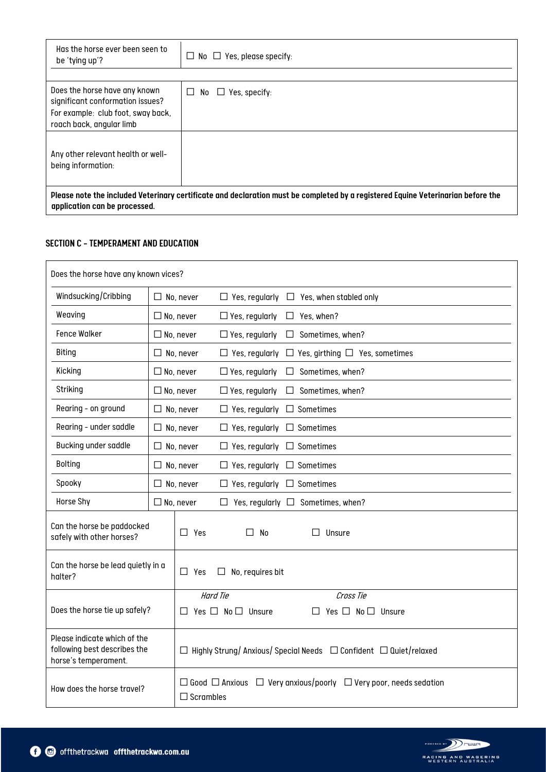| Has the horse ever been seen to<br>be 'tying up'?                                                                                                                 | $\Box$ No $\Box$ Yes, please specify: |  |  |
|-------------------------------------------------------------------------------------------------------------------------------------------------------------------|---------------------------------------|--|--|
| Does the horse have any known                                                                                                                                     | $No \square$ Yes, specify:<br>$\Box$  |  |  |
| significant conformation issues?<br>For example: club foot, sway back,                                                                                            |                                       |  |  |
| roach back, angular limb                                                                                                                                          |                                       |  |  |
| Any other relevant health or well-<br>being information:                                                                                                          |                                       |  |  |
| Please note the included Veterinary certificate and declaration must be completed by a registered Equine Veterinarian before the<br>application can be processed. |                                       |  |  |

## SECTION C - TEMPERAMENT AND EDUCATION

| Does the horse have any known vices?                                                                                                                                     |                                                                                 |                  |                                        |                                                     |
|--------------------------------------------------------------------------------------------------------------------------------------------------------------------------|---------------------------------------------------------------------------------|------------------|----------------------------------------|-----------------------------------------------------|
| Windsucking/Cribbing                                                                                                                                                     | $\Box$ No, never                                                                |                  |                                        | $\Box$ Yes, regularly $\Box$ Yes, when stabled only |
| Weaving                                                                                                                                                                  |                                                                                 | $\Box$ No, never | $\Box$ Yes, regularly                  | $\Box$ Yes, when?                                   |
| <b>Fence Walker</b>                                                                                                                                                      |                                                                                 | $\Box$ No, never | $\Box$ Yes, regularly                  | $\Box$ Sometimes, when?                             |
| <b>Biting</b>                                                                                                                                                            |                                                                                 | $\Box$ No, never | $\Box$ Yes, regularly                  | $\Box$ Yes, girthing $\Box$ Yes, sometimes          |
| Kicking                                                                                                                                                                  |                                                                                 | $\Box$ No, never | $\Box$ Yes, regularly                  | Sometimes, when?<br>$\Box$                          |
| Striking                                                                                                                                                                 |                                                                                 | $\Box$ No, never | $\Box$ Yes, regularly                  | Sometimes, when?<br>$\Box$                          |
| Rearing - on ground                                                                                                                                                      |                                                                                 | $\Box$ No, never | $\Box$ Yes, regularly $\Box$ Sometimes |                                                     |
| Rearing - under saddle                                                                                                                                                   |                                                                                 | $\Box$ No, never | $\Box$ Yes, regularly $\Box$ Sometimes |                                                     |
| Bucking under saddle                                                                                                                                                     |                                                                                 | $\Box$ No, never | $\Box$ Yes, regularly $\Box$ Sometimes |                                                     |
| <b>Bolting</b>                                                                                                                                                           |                                                                                 | $\Box$ No, never | $\Box$ Yes, regularly $\Box$ Sometimes |                                                     |
| Spooky                                                                                                                                                                   |                                                                                 | $\Box$ No, never | $\Box$ Yes, regularly $\Box$ Sometimes |                                                     |
| Horse Shy                                                                                                                                                                |                                                                                 | $\Box$ No, never | $\Box$                                 | Yes, regularly $\Box$ Sometimes, when?              |
| Can the horse be paddocked<br>safely with other horses?                                                                                                                  | $\Box$ Yes<br>$\Box$ No                                                         |                  | Unsure                                 |                                                     |
| halter?                                                                                                                                                                  | Can the horse be lead quietly in a<br>$\Box$ Yes<br>$\Box$ No, requires bit     |                  |                                        |                                                     |
|                                                                                                                                                                          |                                                                                 |                  | Hard Tie                               | Cross Tie                                           |
| Does the horse tie up safely?                                                                                                                                            | Yes $\Box$ No $\Box$ Unsure<br>$Yes \ \Box \ No \ \Box \$ Unsure<br>П<br>$\Box$ |                  |                                        |                                                     |
| Please indicate which of the<br>following best describes the<br>$\Box$ Highly Strung/Anxious/Special Needs $\Box$ Confident $\Box$ Quiet/relaxed<br>horse's temperament. |                                                                                 |                  |                                        |                                                     |
| $\Box$ Good $\Box$ Anxious $\Box$ Very anxious/poorly $\Box$ Very poor, needs sedation<br>How does the horse travel?<br>$\Box$ Scrambles                                 |                                                                                 |                  |                                        |                                                     |

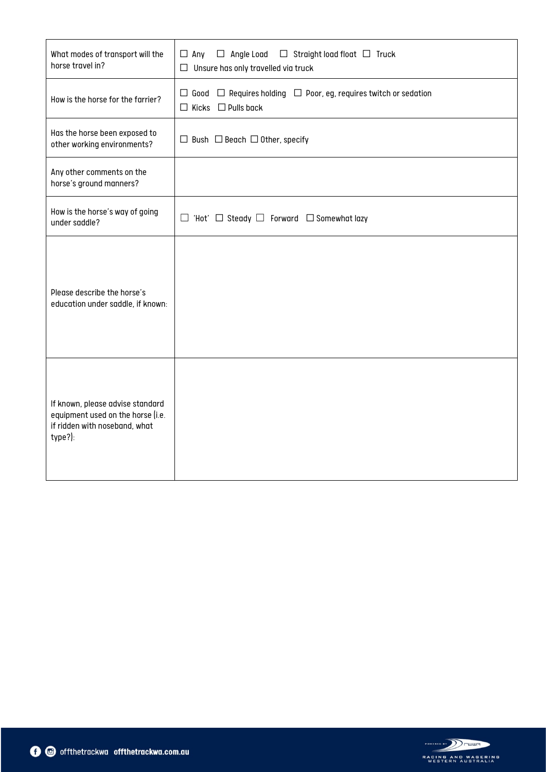| What modes of transport will the<br>horse travel in?                                                              | $\Box$ Angle Load $\Box$ Straight load float $\Box$ Truck<br>$\Box$ Any<br>$\Box$ Unsure has only travelled via truck |
|-------------------------------------------------------------------------------------------------------------------|-----------------------------------------------------------------------------------------------------------------------|
| How is the horse for the farrier?                                                                                 | $\Box$ Good $\Box$ Requires holding $\Box$ Poor, eg, requires twitch or sedation<br>$\Box$ Kicks $\Box$ Pulls back    |
| Has the horse been exposed to<br>other working environments?                                                      | $\Box$ Bush $\Box$ Beach $\Box$ Other, specify                                                                        |
| Any other comments on the<br>horse's ground manners?                                                              |                                                                                                                       |
| How is the horse's way of going<br>under saddle?                                                                  | $\Box$ 'Hot' $\Box$ Steady $\Box$ Forward $\Box$ Somewhat lazy                                                        |
| Please describe the horse's<br>education under saddle, if known:                                                  |                                                                                                                       |
| If known, please advise standard<br>equipment used on the horse (i.e.<br>if ridden with noseband, what<br>type?): |                                                                                                                       |

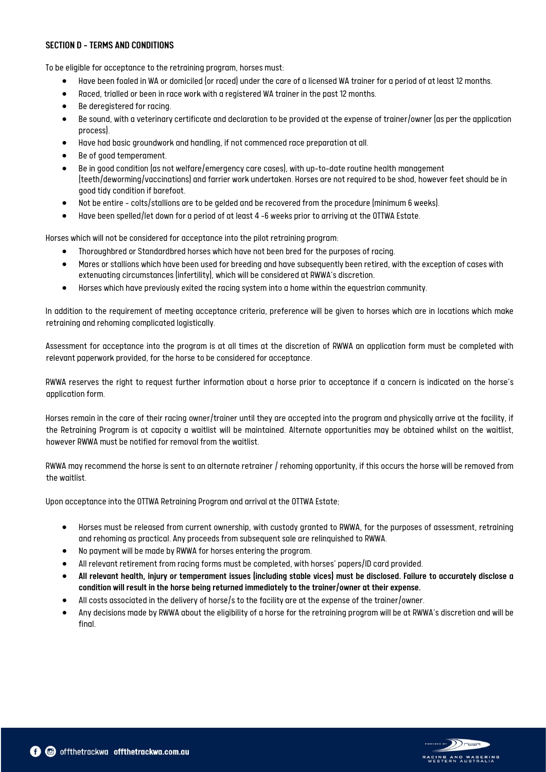#### SECTION D - TERMS AND CONDITIONS

To be eligible for acceptance to the retraining program, horses must:

- Have been foaled in WA or domiciled (or raced) under the care of a licensed WA trainer for a period of at least 12 months.
- Raced, trialled or been in race work with a registered WA trainer in the past 12 months.
- Be deregistered for racing.
- Be sound, with a veterinary certificate and declaration to be provided at the expense of trainer/owner (as per the application process).
- Have had basic groundwork and handling, if not commenced race preparation at all.
- Be of good temperament.
- Be in good condition (as not welfare/emergency care cases), with up-to-date routine health management (teeth/deworming/vaccinations) and farrier work undertaken. Horses are not required to be shod, however feet should be in good tidy condition if barefoot.
- Not be entire colts/stallions are to be gelded and be recovered from the procedure (minimum 6 weeks).
- Have been spelled/let down for a period of at least 4 -6 weeks prior to arriving at the OTTWA Estate.

Horses which will not be considered for acceptance into the pilot retraining program:

- Thoroughbred or Standardbred horses which have not been bred for the purposes of racing.
- Mares or stallions which have been used for breeding and have subsequently been retired, with the exception of cases with extenuating circumstances (infertility), which will be considered at RWWA's discretion.
- Horses which have previously exited the racing system into a home within the equestrian community.

In addition to the requirement of meeting acceptance criteria, preference will be given to horses which are in locations which make retraining and rehoming complicated logistically.

Assessment for acceptance into the program is at all times at the discretion of RWWA an application form must be completed with relevant paperwork provided, for the horse to be considered for acceptance.

RWWA reserves the right to request further information about a horse prior to acceptance if a concern is indicated on the horse's application form.

Horses remain in the care of their racing owner/trainer until they are accepted into the program and physically arrive at the facility, if the Retraining Program is at capacity a waitlist will be maintained. Alternate opportunities may be obtained whilst on the waitlist, however RWWA must be notified for removal from the waitlist.

RWWA may recommend the horse is sent to an alternate retrainer / rehoming opportunity, if this occurs the horse will be removed from the waitlist.

Upon acceptance into the OTTWA Retraining Program and arrival at the OTTWA Estate;

- Horses must be released from current ownership, with custody granted to RWWA, for the purposes of assessment, retraining and rehoming as practical. Any proceeds from subsequent sale are relinquished to RWWA.
- No payment will be made by RWWA for horses entering the program.
- All relevant retirement from racing forms must be completed, with horses' papers/ID card provided.
- All relevant health, injury or temperament issues (including stable vices) must be disclosed. Failure to accurately disclose a condition will result in the horse being returned immediately to the trainer/owner at their expense.
- All costs associated in the delivery of horse/s to the facility are at the expense of the trainer/owner.
- Any decisions made by RWWA about the eligibility of a horse for the retraining program will be at RWWA's discretion and will be final.

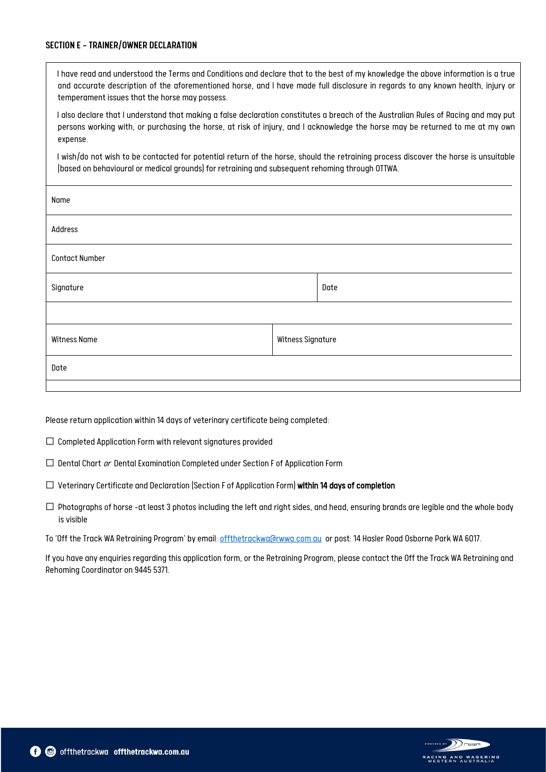#### SECTION E - TRAINER/OWNER DECLARATION

I have read and understood the Terms and Conditions and declare that to the best of my knowledge the above information is a true and accurate description of the aforementioned horse, and I have made full disclosure in regards to any known health, injury or temperament issues that the horse may possess.

I also declare that I understand that making a false declaration constitutes a breach of the Australian Rules of Racing and may put persons working with, or purchasing the horse, at risk of injury, and I acknowledge the horse may be returned to me at my own expense.

I wish/do not wish to be contacted for potential return of the horse, should the retraining process discover the horse is unsuitable (based on behavioural or medical grounds) for retraining and subsequent rehoming through OTTWA.

| Name                                     |      |  |  |
|------------------------------------------|------|--|--|
| Address                                  |      |  |  |
| <b>Contact Number</b>                    |      |  |  |
| Signature                                | Date |  |  |
|                                          |      |  |  |
| Witness Signature<br><b>Witness Name</b> |      |  |  |
| Date                                     |      |  |  |
|                                          |      |  |  |

Please return application within 14 days of veterinary certificate being completed:

- ☐ Completed Application Form with relevant signatures provided
- $\Box$  Dental Chart  $or$  Dental Examination Completed under Section F of Application Form
- ☐ Veterinary Certificate and Declaration (Section F of Application Form) within 14 days of completion
- $\Box$  Photographs of horse -at least 3 photos including the left and right sides, and head, ensuring brands are legible and the whole body is visible

To 'Off the Track WA Retraining Program' by email: [offthetrackwa@rwwa.com.au](mailto:offthetrackwa@rwwa.com.au) or post: 14 Hasler Road Osborne Park WA 6017.

If you have any enquiries regarding this application form, or the Retraining Program, please contact the Off the Track WA Retraining and Rehoming Coordinator on 9445 5371.

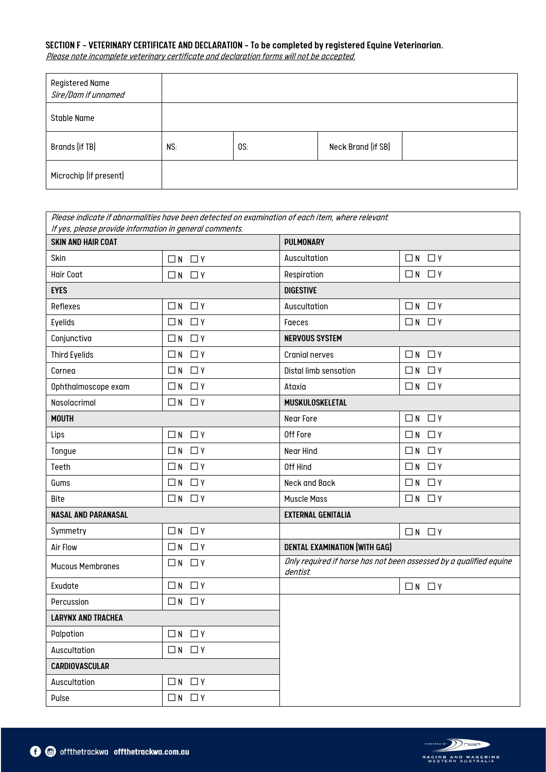# SECTION F - VETERINARY CERTIFICATE AND DECLARATION -To be completed by registered Equine Veterinarian.

Please note incomplete veterinary certificate and declaration forms will not be accepted.

| Registered Name<br>Sire/Dam if unnamed |     |     |                    |  |
|----------------------------------------|-----|-----|--------------------|--|
| Stable Name                            |     |     |                    |  |
| Brands (if TB)                         | NS: | OS: | Neck Brand (if SB) |  |
| Microchip (if present)                 |     |     |                    |  |

| Please indicate if abnormalities have been detected on examination of each item, where relevant.<br>If yes, please provide information in general comments. |                   |                                                                                |                   |  |  |
|-------------------------------------------------------------------------------------------------------------------------------------------------------------|-------------------|--------------------------------------------------------------------------------|-------------------|--|--|
| <b>SKIN AND HAIR COAT</b>                                                                                                                                   |                   | <b>PULMONARY</b>                                                               |                   |  |  |
| Skin                                                                                                                                                        | $\Box N$ $\Box Y$ | Auscultation                                                                   | $\Box N$ $\Box Y$ |  |  |
| <b>Hair Coat</b>                                                                                                                                            | $\Box N$ $\Box Y$ | Respiration                                                                    | $\Box N$ $\Box Y$ |  |  |
| <b>EYES</b>                                                                                                                                                 |                   | <b>DIGESTIVE</b>                                                               |                   |  |  |
| Reflexes                                                                                                                                                    | $\Box N$ $\Box Y$ | Auscultation                                                                   | $\Box N$ $\Box Y$ |  |  |
| Eyelids                                                                                                                                                     | $\Box N$ $\Box Y$ | Faeces                                                                         | $\Box N$ $\Box Y$ |  |  |
| Conjunctiva                                                                                                                                                 | $\Box N$ $\Box Y$ | <b>NERVOUS SYSTEM</b>                                                          |                   |  |  |
| <b>Third Eyelids</b>                                                                                                                                        | $\Box N$ $\Box Y$ | Cranial nerves                                                                 | $\Box N$ $\Box Y$ |  |  |
| Cornea                                                                                                                                                      | $\Box N$ $\Box Y$ | Distal limb sensation                                                          | $\Box N$ $\Box Y$ |  |  |
| Ophthalmoscope exam                                                                                                                                         | $\Box N$ $\Box Y$ | Ataxia                                                                         | $\Box N$ $\Box Y$ |  |  |
| Nasolacrimal                                                                                                                                                | $\Box N$ $\Box Y$ | MUSKULOSKELETAL                                                                |                   |  |  |
| <b>MOUTH</b>                                                                                                                                                |                   | Near Fore                                                                      | $\Box N$ $\Box Y$ |  |  |
| Lips                                                                                                                                                        | $\Box N$ $\Box Y$ | Off Fore                                                                       | $\Box N$ $\Box Y$ |  |  |
| Tongue                                                                                                                                                      | $\Box N$ $\Box Y$ | Near Hind                                                                      | $\Box N$ $\Box Y$ |  |  |
| Teeth                                                                                                                                                       | $\Box N$ $\Box Y$ | Off Hind                                                                       | $\Box N$ $\Box Y$ |  |  |
| Gums                                                                                                                                                        | $\Box N$ $\Box Y$ | Neck and Back                                                                  | $\Box N$ $\Box Y$ |  |  |
| Bite                                                                                                                                                        | $\Box N$ $\Box Y$ | <b>Muscle Mass</b>                                                             | $\Box N$ $\Box Y$ |  |  |
| <b>NASAL AND PARANASAL</b>                                                                                                                                  |                   | <b>EXTERNAL GENITALIA</b>                                                      |                   |  |  |
| Symmetry                                                                                                                                                    | $\Box N$ $\Box Y$ |                                                                                | $\Box N$ $\Box Y$ |  |  |
| <b>Air Flow</b>                                                                                                                                             | $\Box N$ $\Box Y$ | <b>DENTAL EXAMINATION (WITH GAG)</b>                                           |                   |  |  |
| <b>Mucous Membranes</b>                                                                                                                                     | $\Box N$ $\Box Y$ | Only required if horse has not been assessed by a qualified equine<br>dentist. |                   |  |  |
| Exudate                                                                                                                                                     | $\Box N$ $\Box Y$ |                                                                                | $\Box N$ $\Box Y$ |  |  |
| Percussion                                                                                                                                                  | $\Box N$ $\Box Y$ |                                                                                |                   |  |  |
| <b>LARYNX AND TRACHEA</b>                                                                                                                                   |                   |                                                                                |                   |  |  |
| Palpation                                                                                                                                                   | $\Box N$ $\Box Y$ |                                                                                |                   |  |  |
| Auscultation                                                                                                                                                | $\Box N$ $\Box Y$ |                                                                                |                   |  |  |
| CARDIOVASCULAR                                                                                                                                              |                   |                                                                                |                   |  |  |
| Auscultation                                                                                                                                                | $\Box N$ $\Box Y$ |                                                                                |                   |  |  |
| Pulse                                                                                                                                                       | $\Box N$ $\Box Y$ |                                                                                |                   |  |  |